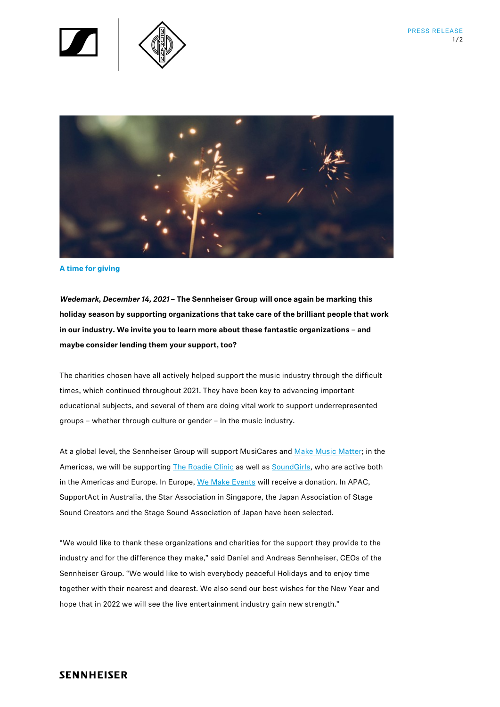



#### **A time for giving**

*Wedemark, December 14, 2021* **– The Sennheiser Group will once again be marking this holiday season by supporting organizations that take care of the brilliant people that work in our industry. We invite you to learn more about these fantastic organizations – and maybe consider lending them your support, too?**

The charities chosen have all actively helped support the music industry through the difficult times, which continued throughout 2021. They have been key to advancing important educational subjects, and several of them are doing vital work to support underrepresented groups – whether through culture or gender – in the music industry.

At a global level, the Sennheiser Group will support MusiCares an[d Make Music Matter;](https://en-de.sennheiser.com/newsroom/make-music-matter-the-healing-power-of-music) in the Americas, we will be supporting [The Roadie](https://en-de.sennheiser.com/newsroom/the-clinic-mental-health-in-times-of-silence) Clinic as well a[s SoundGirls,](https://en-de.sennheiser.com/newsroom/soundgirlsorg-promoting-women-in-the-audio-industry) who are active both in the Americas and Europe. In Europe[, We Make Events](https://en-de.sennheiser.com/newsroom/wemakeevents-giving-the-people-in-the-event-industry-a-voice) will receive a donation. In APAC, SupportAct in Australia, the Star Association in Singapore, the Japan Association of Stage Sound Creators and the Stage Sound Association of Japan have been selected.

"We would like to thank these organizations and charities for the support they provide to the industry and for the difference they make," said Daniel and Andreas Sennheiser, CEOs of the Sennheiser Group. "We would like to wish everybody peaceful Holidays and to enjoy time together with their nearest and dearest. We also send our best wishes for the New Year and hope that in 2022 we will see the live entertainment industry gain new strength."

# **SENNHEISER**